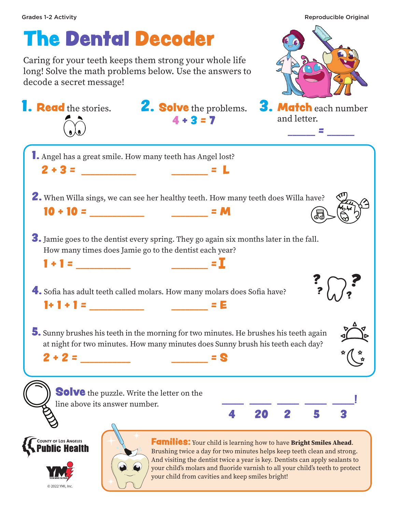